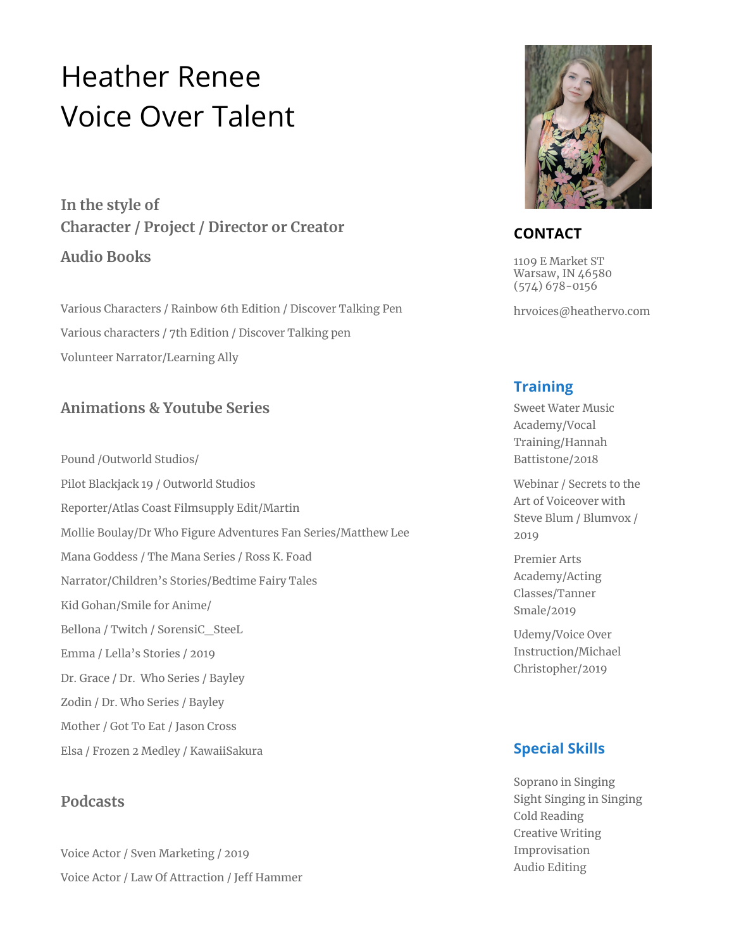# Heather Renee Voice Over Talent

**In the style of Character / Project / Director or Creator Audio Books**

Various Characters / Rainbow 6th Edition / Discover Talking Pen Various characters / 7th Edition / Discover Talking pen Volunteer Narrator/Learning Ally

## **Animations & Youtube Series**

Pound /Outworld Studios/ Pilot Blackjack 19 / Outworld Studios Reporter/Atlas Coast Filmsupply Edit/Martin Mollie Boulay/Dr Who Figure Adventures Fan Series/Matthew Lee Mana Goddess / The Mana Series / Ross K. Foad Narrator/Children's Stories/Bedtime Fairy Tales Kid Gohan/Smile for Anime/ Bellona / Twitch / SorensiC\_SteeL Emma / Lella's Stories / 2019 Dr. Grace / Dr. Who Series / Bayley Zodin / Dr. Who Series / Bayley Mother / Got To Eat / Jason Cross Elsa / Frozen 2 Medley / KawaiiSakura

#### **Podcasts**

Voice Actor / Sven Marketing / 2019 Voice Actor / Law Of Attraction / Jeff Hammer



## **CONTACT**

1109 E Market ST Warsaw, IN 46580 (574) 678-0156

hrvoices@heathervo.com

#### **Training**

Sweet Water Music Academy/Vocal Training/Hannah Battistone/2018

Webinar / Secrets to the Art of Voiceover with Steve Blum / Blumvox / 2019

Premier Arts Academy/Acting Classes/Tanner Smale/2019

Udemy/Voice Over Instruction/Michael Christopher/2019

## **Special Skills**

Soprano in Singing Sight Singing in Singing Cold Reading Creative Writing Improvisation Audio Editing